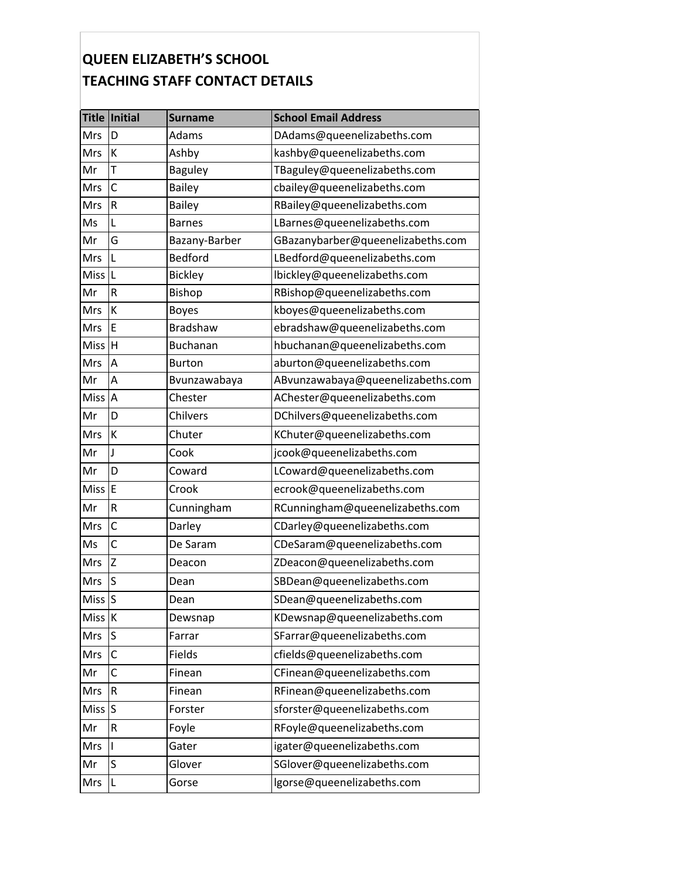## **QUEEN ELIZABETH'S SCHOOL TEACHING STAFF CONTACT DETAILS**

|                   | Title Initial | <b>Surname</b>  | <b>School Email Address</b>       |
|-------------------|---------------|-----------------|-----------------------------------|
| Mrs               | D             | Adams           | DAdams@queenelizabeths.com        |
| Mrs               | К             | Ashby           | kashby@queenelizabeths.com        |
| Mr                | Т             | <b>Baguley</b>  | TBaguley@queenelizabeths.com      |
| Mrs               | $\mathsf C$   | <b>Bailey</b>   | cbailey@queenelizabeths.com       |
| Mrs               | R             | Bailey          | RBailey@queenelizabeths.com       |
| Ms                | L             | <b>Barnes</b>   | LBarnes@queenelizabeths.com       |
| Mr                | G             | Bazany-Barber   | GBazanybarber@queenelizabeths.com |
| Mrs               | L             | <b>Bedford</b>  | LBedford@queenelizabeths.com      |
| <b>Miss</b>       | L             | <b>Bickley</b>  | lbickley@queenelizabeths.com      |
| Mr                | R             | Bishop          | RBishop@queenelizabeths.com       |
| Mrs               | К             | <b>Boyes</b>    | kboyes@queenelizabeths.com        |
| Mrs               | E             | Bradshaw        | ebradshaw@queenelizabeths.com     |
| Miss              | H             | <b>Buchanan</b> | hbuchanan@queenelizabeths.com     |
| Mrs               | A             | <b>Burton</b>   | aburton@queenelizabeths.com       |
| Mr                | Α             | Bvunzawabaya    | ABvunzawabaya@queenelizabeths.com |
| Miss              | A             | Chester         | AChester@queenelizabeths.com      |
| Mr                | D             | Chilvers        | DChilvers@queenelizabeths.com     |
| Mrs               | К             | Chuter          | KChuter@queenelizabeths.com       |
| Mr                | J             | Cook            | jcook@queenelizabeths.com         |
| Mr                | D             | Coward          | LCoward@queenelizabeths.com       |
| <b>Miss</b>       | E             | Crook           | ecrook@queenelizabeths.com        |
| Mr                | R             | Cunningham      | RCunningham@queenelizabeths.com   |
| Mrs               | $\mathsf{C}$  | Darley          | CDarley@queenelizabeths.com       |
| Ms                | C             | De Saram        | CDeSaram@queenelizabeths.com      |
| Mrs               | Z             | Deacon          | ZDeacon@queenelizabeths.com       |
| Mrs               | S             | Dean            | SBDean@queenelizabeths.com        |
| Miss <sup>S</sup> |               | Dean            | SDean@queenelizabeths.com         |
| Miss <sup>K</sup> |               | Dewsnap         | KDewsnap@queenelizabeths.com      |
| Mrs               | S             | Farrar          | SFarrar@queenelizabeths.com       |
| Mrs               | $\mathsf{C}$  | Fields          | cfields@queenelizabeths.com       |
| Mr                | C             | Finean          | CFinean@queenelizabeths.com       |
| Mrs               | R             | Finean          | RFinean@queenelizabeths.com       |
| Miss              | ls            | Forster         | sforster@queenelizabeths.com      |
| Mr                | R             | Foyle           | RFoyle@queenelizabeths.com        |
| Mrs               | I             | Gater           | igater@queenelizabeths.com        |
| Mr                | S             | Glover          | SGlover@queenelizabeths.com       |
| Mrs               | L             | Gorse           | lgorse@queenelizabeths.com        |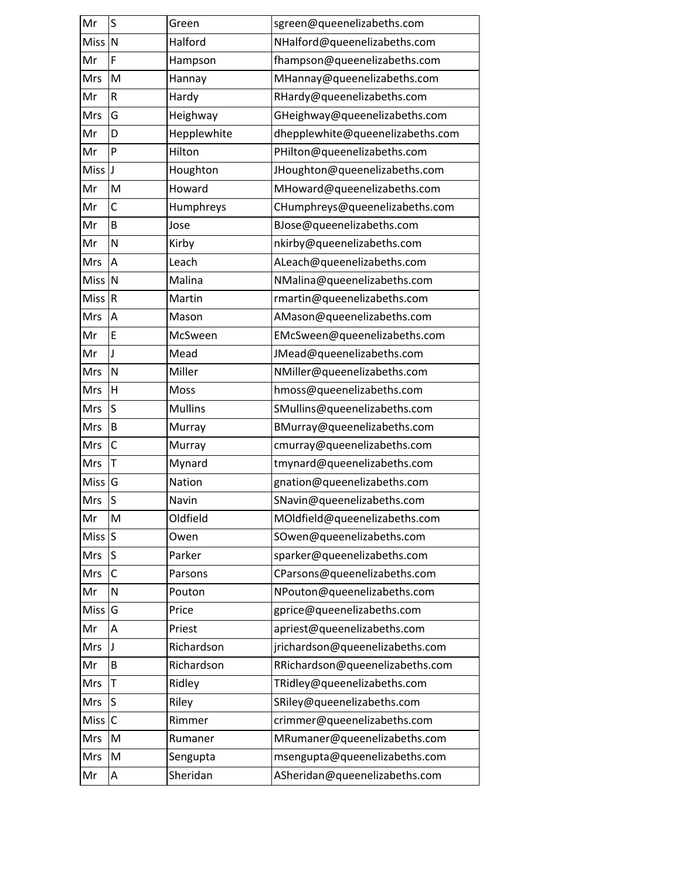| Mr          | S            | Green          | sgreen@queenelizabeths.com       |
|-------------|--------------|----------------|----------------------------------|
| <b>Miss</b> | N            | Halford        | NHalford@queenelizabeths.com     |
| Mr          | F            | Hampson        | fhampson@queenelizabeths.com     |
| Mrs         | M            | Hannay         | MHannay@queenelizabeths.com      |
| Mr          | R            | Hardy          | RHardy@queenelizabeths.com       |
| Mrs         | G            | Heighway       | GHeighway@queenelizabeths.com    |
| Mr          | D            | Hepplewhite    | dhepplewhite@queenelizabeths.com |
| Mr          | P            | Hilton         | PHilton@queenelizabeths.com      |
| Miss J      |              | Houghton       | JHoughton@queenelizabeths.com    |
| Mr          | M            | Howard         | MHoward@queenelizabeths.com      |
| Mr          | C            | Humphreys      | CHumphreys@queenelizabeths.com   |
| Mr          | B            | Jose           | BJose@queenelizabeths.com        |
| Mr          | N            | Kirby          | nkirby@queenelizabeths.com       |
| Mrs         | A            | Leach          | ALeach@queenelizabeths.com       |
| Miss        | IN           | Malina         | NMalina@queenelizabeths.com      |
| <b>Miss</b> | R            | Martin         | rmartin@queenelizabeths.com      |
| Mrs         | A            | Mason          | AMason@queenelizabeths.com       |
| Mr          | E            | McSween        | EMcSween@queenelizabeths.com     |
| Mr          | J            | Mead           | JMead@queenelizabeths.com        |
| Mrs         | N            | Miller         | NMiller@queenelizabeths.com      |
| Mrs         | H            | Moss           | hmoss@queenelizabeths.com        |
| Mrs         | S            | <b>Mullins</b> | SMullins@queenelizabeths.com     |
| Mrs         | B            | Murray         | BMurray@queenelizabeths.com      |
| Mrs         | C            | Murray         | cmurray@queenelizabeths.com      |
| Mrs         | T            | Mynard         | tmynard@queenelizabeths.com      |
| <b>Miss</b> | G            | Nation         | gnation@queenelizabeths.com      |
| Mrs         | S            | Navin          | SNavin@queenelizabeths.com       |
| Mr          | М            | Oldfield       | MOldfield@queenelizabeths.com    |
| Miss $S$    |              | Owen           | SOwen@queenelizabeths.com        |
| Mrs         | $\sf S$      | Parker         | sparker@queenelizabeths.com      |
| Mrs         | $\mathsf{C}$ | Parsons        | CParsons@queenelizabeths.com     |
| Mr          | Ν            | Pouton         | NPouton@queenelizabeths.com      |
| <b>Miss</b> | G            | Price          | gprice@queenelizabeths.com       |
| Mr          | A            | Priest         | apriest@queenelizabeths.com      |
| Mrs         | J            | Richardson     | jrichardson@queenelizabeths.com  |
| Mr          | B            | Richardson     | RRichardson@queenelizabeths.com  |
| Mrs         | $\mathsf{T}$ | Ridley         | TRidley@queenelizabeths.com      |
| Mrs         | S            | Riley          | SRiley@queenelizabeths.com       |
| Miss        | $\mathsf{C}$ | Rimmer         | crimmer@queenelizabeths.com      |
| Mrs         | M            | Rumaner        | MRumaner@queenelizabeths.com     |
| Mrs         | M            | Sengupta       | msengupta@queenelizabeths.com    |
| Mr          | Α            | Sheridan       | ASheridan@queenelizabeths.com    |